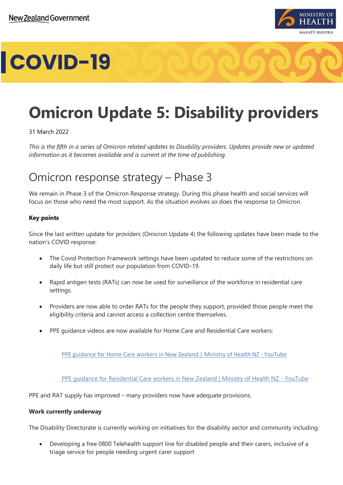

### **Omicron Update 5: Disability providers**

#### 31 March 2022

*This is the fifth in a series of Omicron related updates to Disability providers. Updates provide new or updated information as it becomes available and is current at the time of publishing.* 

#### Omicron response strategy – Phase 3

We remain in Phase 3 of the Omicron Response strategy. During this phase health and social services will focus on those who need the most support. As the situation evolves so does the response to Omicron.

#### **Key points**

Since the last written update for providers (Omicron Update 4) the following updates have been made to the nation's COVID response:

- The Covid Protection Framework settings have been updated to reduce some of the restrictions on daily life but still protect our population from COVID-19.
- Rapid antigen tests (RATs) can now be used for surveillance of the workforce in residential care settings.
- Providers are now able to order RATs for the people they support, provided those people meet the eligibility criteria and cannot access a collection centre themselves.
- PPE guidance videos are now available for Home Care and Residential Care workers:

[PPE guidance for Home Care workers in New Zealand | Ministry of Health NZ -](https://www.youtube.com/watch?app=desktop&v=2hAwDpBMjsk&feature=youtu.be) YouTube

PPE quidance for Residential Care workers in New Zealand | Ministry of Health NZ - YouTube

PPE and RAT supply has improved – many providers now have adequate provisions.

#### **Work currently underway**

The Disability Directorate is currently working on initiatives for the disability sector and community including:

• Developing a free 0800 Telehealth support line for disabled people and their carers, inclusive of a triage service for people needing urgent carer support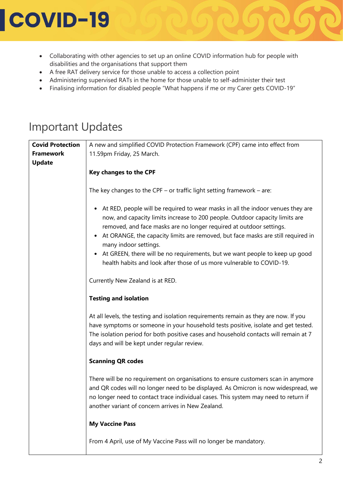- Collaborating with other agencies to set up an online COVID information hub for people with disabilities and the organisations that support them
- A free RAT delivery service for those unable to access a collection point
- Administering supervised RATs in the home for those unable to self-administer their test
- Finalising information for disabled people "What happens if me or my Carer gets COVID-19"

#### Important Updates

| <b>Covid Protection</b> | A new and simplified COVID Protection Framework (CPF) came into effect from                                                                                                                                                                                                                                                                                        |  |  |  |  |  |
|-------------------------|--------------------------------------------------------------------------------------------------------------------------------------------------------------------------------------------------------------------------------------------------------------------------------------------------------------------------------------------------------------------|--|--|--|--|--|
| <b>Framework</b>        | 11.59pm Friday, 25 March.                                                                                                                                                                                                                                                                                                                                          |  |  |  |  |  |
| <b>Update</b>           |                                                                                                                                                                                                                                                                                                                                                                    |  |  |  |  |  |
|                         | <b>Key changes to the CPF</b>                                                                                                                                                                                                                                                                                                                                      |  |  |  |  |  |
|                         |                                                                                                                                                                                                                                                                                                                                                                    |  |  |  |  |  |
|                         | The key changes to the CPF – or traffic light setting framework – are:                                                                                                                                                                                                                                                                                             |  |  |  |  |  |
|                         | • At RED, people will be required to wear masks in all the indoor venues they are<br>now, and capacity limits increase to 200 people. Outdoor capacity limits are<br>removed, and face masks are no longer required at outdoor settings.<br>At ORANGE, the capacity limits are removed, but face masks are still required in<br>$\bullet$<br>many indoor settings. |  |  |  |  |  |
|                         | At GREEN, there will be no requirements, but we want people to keep up good<br>health habits and look after those of us more vulnerable to COVID-19.                                                                                                                                                                                                               |  |  |  |  |  |
|                         | Currently New Zealand is at RED.                                                                                                                                                                                                                                                                                                                                   |  |  |  |  |  |
|                         | <b>Testing and isolation</b>                                                                                                                                                                                                                                                                                                                                       |  |  |  |  |  |
|                         | At all levels, the testing and isolation requirements remain as they are now. If you<br>have symptoms or someone in your household tests positive, isolate and get tested.<br>The isolation period for both positive cases and household contacts will remain at 7<br>days and will be kept under regular review.                                                  |  |  |  |  |  |
|                         | <b>Scanning QR codes</b>                                                                                                                                                                                                                                                                                                                                           |  |  |  |  |  |
|                         | There will be no requirement on organisations to ensure customers scan in anymore<br>and QR codes will no longer need to be displayed. As Omicron is now widespread, we<br>no longer need to contact trace individual cases. This system may need to return if<br>another variant of concern arrives in New Zealand.                                               |  |  |  |  |  |
|                         | <b>My Vaccine Pass</b>                                                                                                                                                                                                                                                                                                                                             |  |  |  |  |  |
|                         | From 4 April, use of My Vaccine Pass will no longer be mandatory.                                                                                                                                                                                                                                                                                                  |  |  |  |  |  |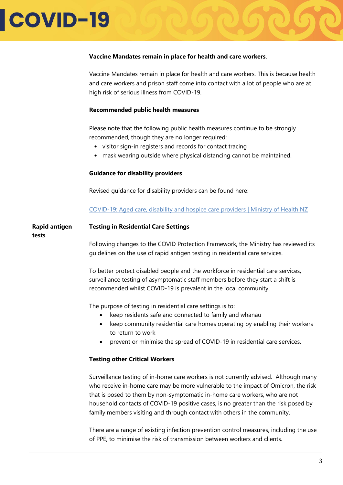|                               | Vaccine Mandates remain in place for health and care workers.                                                                                                                                                                                                                                                                                                                                                                |
|-------------------------------|------------------------------------------------------------------------------------------------------------------------------------------------------------------------------------------------------------------------------------------------------------------------------------------------------------------------------------------------------------------------------------------------------------------------------|
|                               |                                                                                                                                                                                                                                                                                                                                                                                                                              |
|                               | Vaccine Mandates remain in place for health and care workers. This is because health<br>and care workers and prison staff come into contact with a lot of people who are at<br>high risk of serious illness from COVID-19.                                                                                                                                                                                                   |
|                               | <b>Recommended public health measures</b>                                                                                                                                                                                                                                                                                                                                                                                    |
|                               | Please note that the following public health measures continue to be strongly<br>recommended, though they are no longer required:<br>• visitor sign-in registers and records for contact tracing<br>• mask wearing outside where physical distancing cannot be maintained.                                                                                                                                                   |
|                               | <b>Guidance for disability providers</b>                                                                                                                                                                                                                                                                                                                                                                                     |
|                               | Revised quidance for disability providers can be found here:                                                                                                                                                                                                                                                                                                                                                                 |
|                               | COVID-19: Aged care, disability and hospice care providers   Ministry of Health NZ                                                                                                                                                                                                                                                                                                                                           |
| <b>Rapid antigen</b><br>tests | <b>Testing in Residential Care Settings</b>                                                                                                                                                                                                                                                                                                                                                                                  |
|                               | Following changes to the COVID Protection Framework, the Ministry has reviewed its<br>guidelines on the use of rapid antigen testing in residential care services.                                                                                                                                                                                                                                                           |
|                               | To better protect disabled people and the workforce in residential care services,<br>surveillance testing of asymptomatic staff members before they start a shift is<br>recommended whilst COVID-19 is prevalent in the local community.                                                                                                                                                                                     |
|                               | The purpose of testing in residential care settings is to:                                                                                                                                                                                                                                                                                                                                                                   |
|                               | keep residents safe and connected to family and whānau                                                                                                                                                                                                                                                                                                                                                                       |
|                               | keep community residential care homes operating by enabling their workers<br>to return to work                                                                                                                                                                                                                                                                                                                               |
|                               | prevent or minimise the spread of COVID-19 in residential care services.                                                                                                                                                                                                                                                                                                                                                     |
|                               | <b>Testing other Critical Workers</b>                                                                                                                                                                                                                                                                                                                                                                                        |
|                               | Surveillance testing of in-home care workers is not currently advised. Although many<br>who receive in-home care may be more vulnerable to the impact of Omicron, the risk<br>that is posed to them by non-symptomatic in-home care workers, who are not<br>household contacts of COVID-19 positive cases, is no greater than the risk posed by<br>family members visiting and through contact with others in the community. |
|                               | There are a range of existing infection prevention control measures, including the use<br>of PPE, to minimise the risk of transmission between workers and clients.                                                                                                                                                                                                                                                          |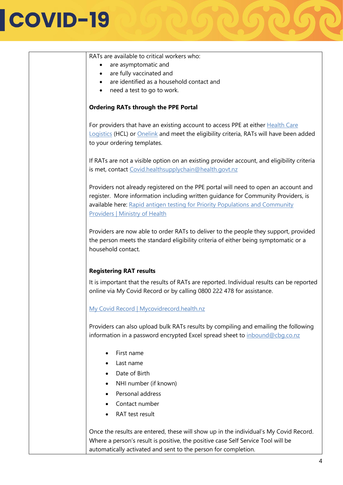| RATs are available to critical workers who:                                                                                                                                                                                                                                                       |
|---------------------------------------------------------------------------------------------------------------------------------------------------------------------------------------------------------------------------------------------------------------------------------------------------|
| are asymptomatic and                                                                                                                                                                                                                                                                              |
| are fully vaccinated and<br>$\bullet$<br>are identified as a household contact and                                                                                                                                                                                                                |
| need a test to go to work.<br>$\bullet$                                                                                                                                                                                                                                                           |
|                                                                                                                                                                                                                                                                                                   |
| <b>Ordering RATs through the PPE Portal</b>                                                                                                                                                                                                                                                       |
| For providers that have an existing account to access PPE at either Health Care<br>Logistics (HCL) or Onelink and meet the eligibility criteria, RATs will have been added<br>to your ordering templates.                                                                                         |
| If RATs are not a visible option on an existing provider account, and eligibility criteria<br>is met, contact Covid.healthsupplychain@health.govt.nz                                                                                                                                              |
| Providers not already registered on the PPE portal will need to open an account and<br>register. More information including written guidance for Community Providers, is<br>available here: Rapid antigen testing for Priority Populations and Community<br><b>Providers   Ministry of Health</b> |
| Providers are now able to order RATs to deliver to the people they support, provided<br>the person meets the standard eligibility criteria of either being symptomatic or a<br>household contact.                                                                                                 |
| <b>Registering RAT results</b>                                                                                                                                                                                                                                                                    |
| It is important that the results of RATs are reported. Individual results can be reported<br>online via My Covid Record or by calling 0800 222 478 for assistance.                                                                                                                                |
| My Covid Record   Mycovidrecord.health.nz                                                                                                                                                                                                                                                         |
| Providers can also upload bulk RATs results by compiling and emailing the following<br>information in a password encrypted Excel spread sheet to inbound@cbg.co.nz                                                                                                                                |
| First name                                                                                                                                                                                                                                                                                        |
| Last name                                                                                                                                                                                                                                                                                         |
| Date of Birth                                                                                                                                                                                                                                                                                     |
|                                                                                                                                                                                                                                                                                                   |
| NHI number (if known)                                                                                                                                                                                                                                                                             |
| Personal address                                                                                                                                                                                                                                                                                  |
| Contact number                                                                                                                                                                                                                                                                                    |
| RAT test result                                                                                                                                                                                                                                                                                   |
| Once the results are entered, these will show up in the individual's My Covid Record.<br>Where a person's result is positive, the positive case Self Service Tool will be<br>automatically activated and sent to the person for completion.                                                       |
|                                                                                                                                                                                                                                                                                                   |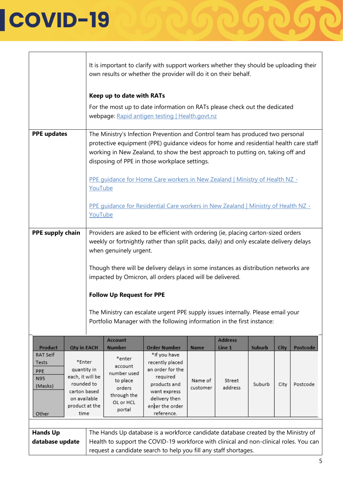|                                                                                                                                                                                                                             |                                                                                                                                                             | It is important to clarify with support workers whether they should be uploading their<br>own results or whether the provider will do it on their behalf.                                                                                                                                                   |  |  |  |  |  |  |
|-----------------------------------------------------------------------------------------------------------------------------------------------------------------------------------------------------------------------------|-------------------------------------------------------------------------------------------------------------------------------------------------------------|-------------------------------------------------------------------------------------------------------------------------------------------------------------------------------------------------------------------------------------------------------------------------------------------------------------|--|--|--|--|--|--|
|                                                                                                                                                                                                                             |                                                                                                                                                             | Keep up to date with RATs                                                                                                                                                                                                                                                                                   |  |  |  |  |  |  |
|                                                                                                                                                                                                                             |                                                                                                                                                             | For the most up to date information on RATs please check out the dedicated<br>webpage: Rapid antigen testing   Health.govt.nz                                                                                                                                                                               |  |  |  |  |  |  |
| <b>PPE updates</b>                                                                                                                                                                                                          |                                                                                                                                                             | The Ministry's Infection Prevention and Control team has produced two personal<br>protective equipment (PPE) quidance videos for home and residential health care staff<br>working in New Zealand, to show the best approach to putting on, taking off and<br>disposing of PPE in those workplace settings. |  |  |  |  |  |  |
|                                                                                                                                                                                                                             |                                                                                                                                                             | PPE guidance for Home Care workers in New Zealand   Ministry of Health NZ -<br>YouTube                                                                                                                                                                                                                      |  |  |  |  |  |  |
|                                                                                                                                                                                                                             |                                                                                                                                                             | PPE guidance for Residential Care workers in New Zealand   Ministry of Health NZ -<br>YouTube                                                                                                                                                                                                               |  |  |  |  |  |  |
| PPE supply chain<br>Providers are asked to be efficient with ordering (ie, placing carton-sized orders<br>weekly or fortnightly rather than split packs, daily) and only escalate delivery delays<br>when genuinely urgent. |                                                                                                                                                             |                                                                                                                                                                                                                                                                                                             |  |  |  |  |  |  |
|                                                                                                                                                                                                                             | Though there will be delivery delays in some instances as distribution networks are<br>impacted by Omicron, all orders placed will be delivered.            |                                                                                                                                                                                                                                                                                                             |  |  |  |  |  |  |
|                                                                                                                                                                                                                             |                                                                                                                                                             | <b>Follow Up Request for PPE</b>                                                                                                                                                                                                                                                                            |  |  |  |  |  |  |
|                                                                                                                                                                                                                             | The Ministry can escalate urgent PPE supply issues internally. Please email your<br>Portfolio Manager with the following information in the first instance: |                                                                                                                                                                                                                                                                                                             |  |  |  |  |  |  |
| Product                                                                                                                                                                                                                     | <b>Address</b><br><b>Account</b><br>City   Postcode<br><b>Otv in EACH</b><br>Order Number<br><b>Suburb</b><br><b>Number</b><br><b>Name</b><br>Line 1        |                                                                                                                                                                                                                                                                                                             |  |  |  |  |  |  |

| Product                                                                                               | <b>Qty in EACH</b>                                                                                                |  | <b>Number</b>                                                                                | <b>Order Number</b>                                                                                                                               | <b>Name</b>         | Line 1            | Suburb | City | Postcode |
|-------------------------------------------------------------------------------------------------------|-------------------------------------------------------------------------------------------------------------------|--|----------------------------------------------------------------------------------------------|---------------------------------------------------------------------------------------------------------------------------------------------------|---------------------|-------------------|--------|------|----------|
| RAT Self<br>Tests<br>PPE<br>N95<br>(Masks)<br>Other                                                   | *Enter<br>quantity in<br>each, it will be<br>rounded to<br>carton based<br>on available<br>product at the<br>time |  | *enter<br>account<br>number used<br>to place<br>orders<br>through the<br>OL or HCL<br>portal | *If you have<br>recently placed<br>an order for the<br>required<br>products and<br>want express<br>delivery then<br>enter the order<br>reference. | Name of<br>customer | Street<br>address | Suburb | City | Postcode |
| <b>Hands Up</b><br>The Hands Up database is a workforce candidate database created by the Ministry of |                                                                                                                   |  |                                                                                              |                                                                                                                                                   |                     |                   |        |      |          |
|                                                                                                       |                                                                                                                   |  |                                                                                              |                                                                                                                                                   |                     |                   |        |      |          |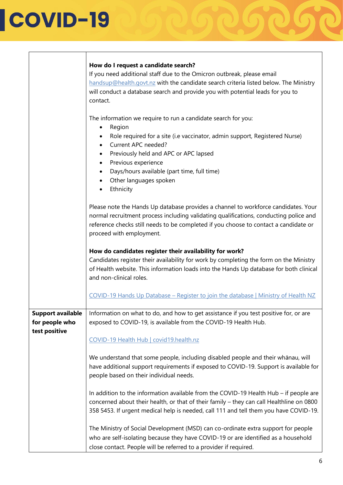|                                                             | How do I request a candidate search?<br>If you need additional staff due to the Omicron outbreak, please email<br>handsup@health.govt.nz with the candidate search criteria listed below. The Ministry<br>will conduct a database search and provide you with potential leads for you to<br>contact.                                                                                                |  |  |  |  |  |
|-------------------------------------------------------------|-----------------------------------------------------------------------------------------------------------------------------------------------------------------------------------------------------------------------------------------------------------------------------------------------------------------------------------------------------------------------------------------------------|--|--|--|--|--|
|                                                             | The information we require to run a candidate search for you:<br>Region<br>$\bullet$<br>Role required for a site (i.e vaccinator, admin support, Registered Nurse)<br>Current APC needed?<br>Previously held and APC or APC lapsed<br>$\bullet$<br>Previous experience<br>Days/hours available (part time, full time)<br>$\bullet$<br>Other languages spoken<br>$\bullet$<br>Ethnicity<br>$\bullet$ |  |  |  |  |  |
|                                                             | Please note the Hands Up database provides a channel to workforce candidates. Your<br>normal recruitment process including validating qualifications, conducting police and<br>reference checks still needs to be completed if you choose to contact a candidate or<br>proceed with employment.                                                                                                     |  |  |  |  |  |
|                                                             | How do candidates register their availability for work?<br>Candidates register their availability for work by completing the form on the Ministry<br>of Health website. This information loads into the Hands Up database for both clinical<br>and non-clinical roles.                                                                                                                              |  |  |  |  |  |
|                                                             | COVID-19 Hands Up Database - Register to join the database   Ministry of Health NZ                                                                                                                                                                                                                                                                                                                  |  |  |  |  |  |
| <b>Support available</b><br>for people who<br>test positive | Information on what to do, and how to get assistance if you test positive for, or are<br>exposed to COVID-19, is available from the COVID-19 Health Hub.<br>COVID-19 Health Hub   covid19.health.nz                                                                                                                                                                                                 |  |  |  |  |  |
|                                                             | We understand that some people, including disabled people and their whānau, will<br>have additional support requirements if exposed to COVID-19. Support is available for<br>people based on their individual needs.                                                                                                                                                                                |  |  |  |  |  |
|                                                             | In addition to the information available from the COVID-19 Health Hub $-$ if people are<br>concerned about their health, or that of their family - they can call Healthline on 0800<br>358 5453. If urgent medical help is needed, call 111 and tell them you have COVID-19.                                                                                                                        |  |  |  |  |  |
|                                                             | The Ministry of Social Development (MSD) can co-ordinate extra support for people<br>who are self-isolating because they have COVID-19 or are identified as a household<br>close contact. People will be referred to a provider if required.                                                                                                                                                        |  |  |  |  |  |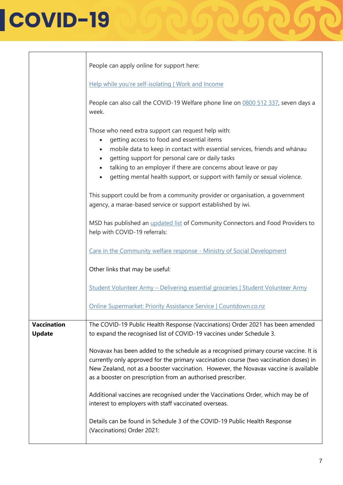|                                     | People can apply online for support here:                                                                                                                                                                                                                                                                                                                                                                                  |  |  |  |  |  |  |
|-------------------------------------|----------------------------------------------------------------------------------------------------------------------------------------------------------------------------------------------------------------------------------------------------------------------------------------------------------------------------------------------------------------------------------------------------------------------------|--|--|--|--|--|--|
|                                     | Help while you're self-isolating   Work and Income                                                                                                                                                                                                                                                                                                                                                                         |  |  |  |  |  |  |
|                                     | People can also call the COVID-19 Welfare phone line on 0800 512 337, seven days a<br>week.                                                                                                                                                                                                                                                                                                                                |  |  |  |  |  |  |
|                                     | Those who need extra support can request help with:<br>getting access to food and essential items<br>$\bullet$<br>mobile data to keep in contact with essential services, friends and whānau<br>getting support for personal care or daily tasks<br>talking to an employer if there are concerns about leave or pay<br>$\bullet$<br>getting mental health support, or support with family or sexual violence.<br>$\bullet$ |  |  |  |  |  |  |
|                                     | This support could be from a community provider or organisation, a government<br>agency, a marae-based service or support established by iwi.                                                                                                                                                                                                                                                                              |  |  |  |  |  |  |
|                                     | MSD has published an <i>updated list</i> of Community Connectors and Food Providers to<br>help with COVID-19 referrals:                                                                                                                                                                                                                                                                                                    |  |  |  |  |  |  |
|                                     | Care in the Community welfare response - Ministry of Social Development                                                                                                                                                                                                                                                                                                                                                    |  |  |  |  |  |  |
|                                     | Other links that may be useful:                                                                                                                                                                                                                                                                                                                                                                                            |  |  |  |  |  |  |
|                                     | Student Volunteer Army - Delivering essential groceries   Student Volunteer Army                                                                                                                                                                                                                                                                                                                                           |  |  |  |  |  |  |
|                                     | Online Supermarket: Priority Assistance Service   Countdown.co.nz                                                                                                                                                                                                                                                                                                                                                          |  |  |  |  |  |  |
| <b>Vaccination</b><br><b>Update</b> | The COVID-19 Public Health Response (Vaccinations) Order 2021 has been amended<br>to expand the recognised list of COVID-19 vaccines under Schedule 3.                                                                                                                                                                                                                                                                     |  |  |  |  |  |  |
|                                     | Novavax has been added to the schedule as a recognised primary course vaccine. It is<br>currently only approved for the primary vaccination course (two vaccination doses) in<br>New Zealand, not as a booster vaccination. However, the Novavax vaccine is available<br>as a booster on prescription from an authorised prescriber.                                                                                       |  |  |  |  |  |  |
|                                     | Additional vaccines are recognised under the Vaccinations Order, which may be of<br>interest to employers with staff vaccinated overseas.                                                                                                                                                                                                                                                                                  |  |  |  |  |  |  |
|                                     | Details can be found in Schedule 3 of the COVID-19 Public Health Response<br>(Vaccinations) Order 2021:                                                                                                                                                                                                                                                                                                                    |  |  |  |  |  |  |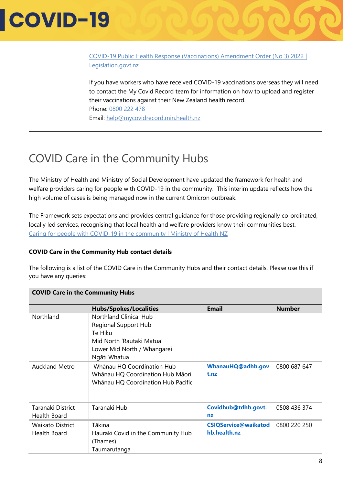| COVID-19 Public Health Response (Vaccinations) Amendment Order (No 3) 2022          |
|-------------------------------------------------------------------------------------|
| Legislation.govt.nz                                                                 |
|                                                                                     |
| If you have workers who have received COVID-19 vaccinations overseas they will need |
| to contact the My Covid Record team for information on how to upload and register   |
| their vaccinations against their New Zealand health record.                         |
| Phone: 0800 222 478                                                                 |
| Email: help@mycovidrecord.min.health.nz                                             |
|                                                                                     |

#### COVID Care in the Community Hubs

The Ministry of Health and Ministry of Social Development have updated the framework for health and welfare providers caring for people with COVID-19 in the community. This interim update reflects how the high volume of cases is being managed now in the current Omicron outbreak.

The Framework sets expectations and provides central guidance for those providing regionally co-ordinated, locally led services, recognising that local health and welfare providers know their communities best. [Caring for people with COVID-19 in the community | Ministry of Health NZ](https://www.health.govt.nz/covid-19-novel-coronavirus/covid-19-information-health-professionals/caring-people-covid-19-community)

#### **COVID Care in the Community Hub contact details**

**COVID Care in the Community Hubs**

The following is a list of the COVID Care in the Community Hubs and their contact details. Please use this if you have any queries:

| COVID Care in the Community Hubs        |                                                                                                                                              |                                             |               |  |  |  |
|-----------------------------------------|----------------------------------------------------------------------------------------------------------------------------------------------|---------------------------------------------|---------------|--|--|--|
|                                         | <b>Hubs/Spokes/Localities</b>                                                                                                                | <b>Email</b>                                | <b>Number</b> |  |  |  |
| Northland                               | <b>Northland Clinical Hub</b><br>Regional Support Hub<br>Te Hiku<br>Mid North 'Rautaki Matua'<br>Lower Mid North / Whangarei<br>Ngāti Whatua |                                             |               |  |  |  |
| <b>Auckland Metro</b>                   | Whānau HQ Coordination Hub<br>Whānau HQ Coordination Hub Māori<br>Whānau HQ Coordination Hub Pacific                                         | WhanauHQ@adhb.gov<br>t.nz                   | 0800 687 647  |  |  |  |
| Taranaki District<br>Health Board       | Taranaki Hub                                                                                                                                 | Covidhub@tdhb.govt.<br>n <sub>z</sub>       | 0508 436 374  |  |  |  |
| <b>Waikato District</b><br>Health Board | Tākina<br>Hauraki Covid in the Community Hub<br>(Thames)<br>Taumarutanga                                                                     | <b>CSIQService@waikatod</b><br>hb.health.nz | 0800 220 250  |  |  |  |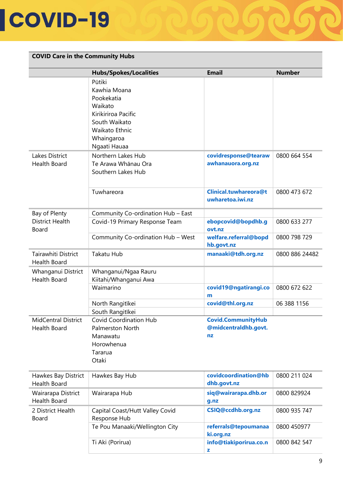MidCentral District

#### **COVID Care in the Community Hubs Hubs/Spokes/Localities Email Number** Pūtiki Kawhia Moana Pookekatia Waikato Kirikiriroa Pacific South Waikato Waikato Ethnic Whaingaroa Ngaati Hauaa Lakes District Health Board Northern Lakes Hub Te Arawa Whānau Ora Southern Lakes Hub **[covidresponse@tearaw](mailto:covidresponse@tearawawhanauora.org.nz) [awhanauora.org.nz](mailto:covidresponse@tearawawhanauora.org.nz)** 0800 664 554 Tuwhareora **[Clinical.tuwhareora@t](mailto:Clinical.tuwhareora@tuwharetoa.iwi.nz) [uwharetoa.iwi.nz](mailto:Clinical.tuwhareora@tuwharetoa.iwi.nz)** 0800 473 672 Bay of Plenty District Health Board Community Co-ordination Hub – East Covid-19 Primary Response Team **[ebopcovid@bopdhb.g](mailto:ebopcovid@bopdhb.govt.nz) [ovt.nz](mailto:ebopcovid@bopdhb.govt.nz)** 0800 633 277 Community Co-ordination Hub – West **[welfare.referral@bopd](mailto:welfare.referral@bopdhb.govt.nz) [hb.govt.nz](mailto:welfare.referral@bopdhb.govt.nz)** 0800 798 729 Tairawhiti District Health Board Takatu Hub **[manaaki@tdh.org.nz](mailto:manaaki@tdh.org.nz)** 0800 886 24482 Whanganui District Health Board Whanganui/Ngaa Rauru Kiitahi/Whanganui Awa Waimarino **[covid19@ngatirangi.co](mailto:covid19@ngatirangi.com) [m](mailto:covid19@ngatirangi.com)** 0800 672 622 North Rangitīkei **[covid@thl.org.nz](mailto:covid@thl.org.nz)** 06 388 1156 South Rangitīkei

Health Board Palmerston North Manawatu Horowhenua Tararua **Otaki [@midcentraldhb.govt.](mailto:Covid.CommunityHub@midcentraldhb.govt.nz) [nz](mailto:Covid.CommunityHub@midcentraldhb.govt.nz)**  Hawkes Bay District Health Board Hawkes Bay Hub **[covidcoordination@hb](mailto:covidcoordination@hbdhb.govt.nz) [dhb.govt.nz](mailto:covidcoordination@hbdhb.govt.nz)**  0800 211 024 Wairarapa District Health Board Wairarapa Hub **[siq@wairarapa.dhb.or](mailto:siq@wairarapa.dhb.org.nz) [g.nz](mailto:siq@wairarapa.dhb.org.nz)** 0800 829924 2 District Health Board Capital Coast/Hutt Valley Covid Response Hub **[CSIQ@ccdhb.org.nz](mailto:CSIQ@ccdhb.org.nz)** 0800 935 747 Te Pou Manaaki/Wellington City **[referrals@tepoumanaa](mailto:referrals@tepoumanaaki.org.nz) [ki.org.nz](mailto:referrals@tepoumanaaki.org.nz)** 0800 450977

Ti Aki (Porirua) **[info@tiakiporirua.co.n](mailto:info@tiakiporirua.co.nz)**

**[z](mailto:info@tiakiporirua.co.nz)**

**[Covid.CommunityHub](mailto:Covid.CommunityHub@midcentraldhb.govt.nz)**

Covid Coordination Hub

0800 842 547